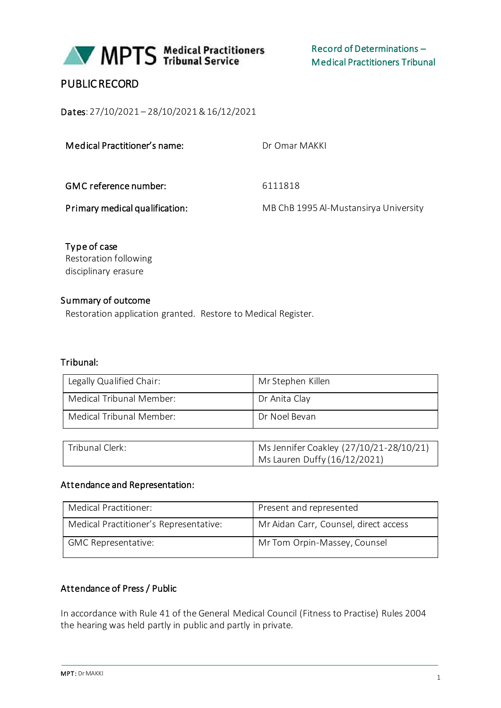

# PUBLIC RECORD

Dates: 27/10/2021 – 28/10/2021 & 16/12/2021

| Medical Practitioner's name:   | Dr Omar MAKKL                         |
|--------------------------------|---------------------------------------|
| GMC reference number:          | 6111818                               |
| Primary medical qualification: | MB ChB 1995 Al-Mustansirya University |

Type of case Restoration following disciplinary erasure

### Summary of outcome

Restoration application granted. Restore to Medical Register.

#### Tribunal:

| Legally Qualified Chair: | Mr Stephen Killen |
|--------------------------|-------------------|
| Medical Tribunal Member: | Dr Anita Clay     |
| Medical Tribunal Member: | Dr Noel Bevan     |
|                          |                   |

| Tribunal Clerk: | Ms Jennifer Coakley (27/10/21-28/10/21) |
|-----------------|-----------------------------------------|
|                 | Ms Lauren Duffy (16/12/2021)            |

#### Attendance and Representation:

| Medical Practitioner:                  | Present and represented               |
|----------------------------------------|---------------------------------------|
| Medical Practitioner's Representative: | Mr Aidan Carr, Counsel, direct access |
| <b>GMC Representative:</b>             | Mr Tom Orpin-Massey, Counsel          |

### Attendance of Press / Public

In accordance with Rule 41 of the General Medical Council (Fitness to Practise) Rules 2004 the hearing was held partly in public and partly in private.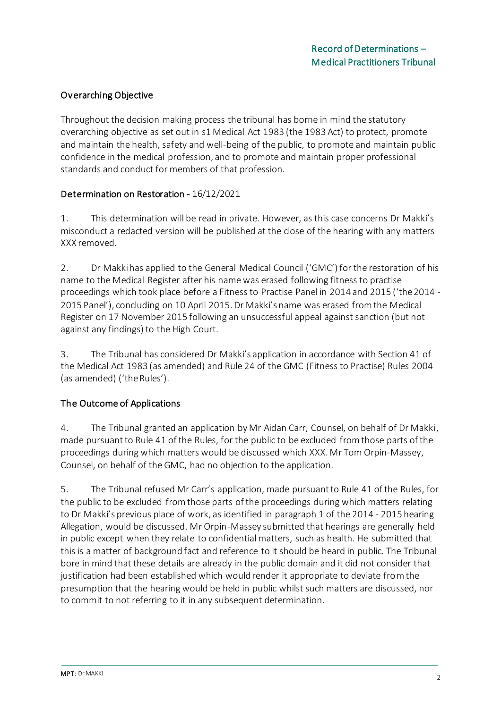# Overarching Objective

Throughout the decision making process the tribunal has borne in mind the statutory overarching objective as set out in s1 Medical Act 1983 (the 1983 Act) to protect, promote and maintain the health, safety and well-being of the public, to promote and maintain public confidence in the medical profession, and to promote and maintain proper professional standards and conduct for members of that profession.

### Determination on Restoration - 16/12/2021

1. This determination will be read in private. However, as this case concerns Dr Makki's misconduct a redacted version will be published at the close of the hearing with any matters XXX removed.

2. Dr Makki has applied to the General Medical Council ('GMC') for the restoration of his name to the Medical Register after his name was erased following fitness to practise proceedings which took place before a Fitness to Practise Panel in 2014 and 2015 ('the 2014 - 2015 Panel'), concluding on 10 April 2015. Dr Makki's name was erased from the Medical Register on 17 November 2015 following an unsuccessful appeal against sanction (but not against any findings) to the High Court.

3. The Tribunal has considered Dr Makki's application in accordance with Section 41 of the Medical Act 1983 (as amended) and Rule 24 of the GMC (Fitness to Practise) Rules 2004 (as amended) ('the Rules').

### The Outcome of Applications

4. The Tribunal granted an application by Mr Aidan Carr, Counsel, on behalf of Dr Makki, made pursuant to Rule 41 of the Rules, for the public to be excluded from those parts of the proceedings during which matters would be discussed which XXX. Mr Tom Orpin-Massey, Counsel, on behalf of the GMC, had no objection to the application.

5. The Tribunal refused Mr Carr's application, made pursuant to Rule 41 of the Rules, for the public to be excluded from those parts of the proceedings during which matters relating to Dr Makki's previous place of work, as identified in paragraph 1 of the 2014 - 2015 hearing Allegation, would be discussed. Mr Orpin-Massey submitted that hearings are generally held in public except when they relate to confidential matters, such as health. He submitted that this is a matter of background fact and reference to it should be heard in public. The Tribunal bore in mind that these details are already in the public domain and it did not consider that justification had been established which would render it appropriate to deviate from the presumption that the hearing would be held in public whilst such matters are discussed, nor to commit to not referring to it in any subsequent determination.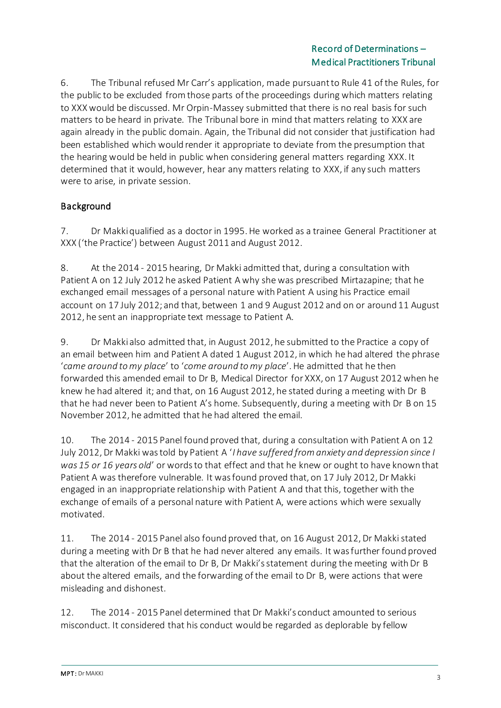6. The Tribunal refused Mr Carr's application, made pursuant to Rule 41 of the Rules, for the public to be excluded from those parts of the proceedings during which matters relating to XXXwould be discussed. Mr Orpin-Massey submitted that there is no real basis for such matters to be heard in private. The Tribunal bore in mind that matters relating to XXX are again already in the public domain. Again, the Tribunal did not consider that justification had been established which would render it appropriate to deviate from the presumption that the hearing would be held in public when considering general matters regarding XXX. It determined that it would, however, hear any matters relating to XXX, if any such matters were to arise, in private session.

# Background

7. Dr Makki qualified as a doctor in 1995. He worked as a trainee General Practitioner at XXX ('the Practice') between August 2011 and August 2012.

8. At the 2014 - 2015 hearing, Dr Makki admitted that, during a consultation with Patient A on 12 July 2012 he asked Patient A why she was prescribed Mirtazapine; that he exchanged email messages of a personal nature with Patient A using his Practice email account on 17 July 2012; and that, between 1 and 9 August 2012 and on or around 11 August 2012, he sent an inappropriate text message to Patient A.

9. Dr Makkialso admitted that, in August 2012, he submitted to the Practice a copy of an email between him and Patient A dated 1 August 2012, in which he had altered the phrase '*came around to my place*' to '*come around to my place*'. He admitted that he then forwarded this amended email to Dr B, Medical Director for XXX, on 17 August 2012 when he knew he had altered it; and that, on 16 August 2012, he stated during a meeting with Dr B that he had never been to Patient A's home. Subsequently, during a meeting with Dr B on 15 November 2012, he admitted that he had altered the email.

10. The 2014 - 2015 Panel found proved that, during a consultation with Patient A on 12 July 2012, Dr Makki was told by Patient A '*I have suffered from anxiety and depression since I was 15 or 16 years old*' or words to that effect and that he knew or ought to have known that Patient A was therefore vulnerable. It was found proved that, on 17 July 2012, Dr Makki engaged in an inappropriate relationship with Patient A and that this, together with the exchange of emails of a personal nature with Patient A, were actions which were sexually motivated.

11. The 2014 - 2015 Panel also found proved that, on 16 August 2012, Dr Makki stated during a meeting with Dr B that he had never altered any emails. It was further found proved that the alteration of the email to Dr B, Dr Makki's statement during the meeting with Dr B about the altered emails, and the forwarding of the email to Dr B, were actions that were misleading and dishonest.

12. The 2014 - 2015 Panel determined that Dr Makki's conduct amounted to serious misconduct. It considered that his conduct would be regarded as deplorable by fellow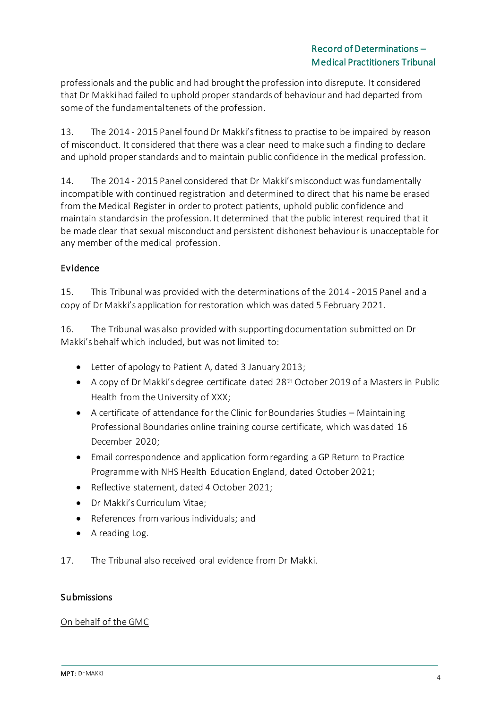professionals and the public and had brought the profession into disrepute. It considered that Dr Makki had failed to uphold proper standards of behaviour and had departed from some of the fundamental tenets of the profession.

13. The 2014 - 2015 Panel found Dr Makki's fitness to practise to be impaired by reason of misconduct. It considered that there was a clear need to make such a finding to declare and uphold proper standards and to maintain public confidence in the medical profession.

14. The 2014 - 2015 Panel considered that Dr Makki's misconduct was fundamentally incompatible with continued registration and determined to direct that his name be erased from the Medical Register in order to protect patients, uphold public confidence and maintain standards in the profession. It determined that the public interest required that it be made clear that sexual misconduct and persistent dishonest behaviour is unacceptable for any member of the medical profession.

# Evidence

15. This Tribunal was provided with the determinations of the 2014 - 2015 Panel and a copy of Dr Makki's application for restoration which was dated 5 February 2021.

16. The Tribunal was also provided with supporting documentation submitted on Dr Makki's behalf which included, but was not limited to:

- Letter of apology to Patient A, dated 3 January 2013;
- A copy of Dr Makki's degree certificate dated 28<sup>th</sup> October 2019 of a Masters in Public Health from the University of XXX;
- A certificate of attendance for the Clinic for Boundaries Studies Maintaining Professional Boundaries online training course certificate, which was dated 16 December 2020;
- Email correspondence and application form regarding a GP Return to Practice Programme with NHS Health Education England, dated October 2021;
- Reflective statement, dated 4 October 2021;
- Dr Makki's Curriculum Vitae;
- References from various individuals; and
- A reading Log.
- 17. The Tribunal also received oral evidence from Dr Makki.

### **Submissions**

#### On behalf of the GMC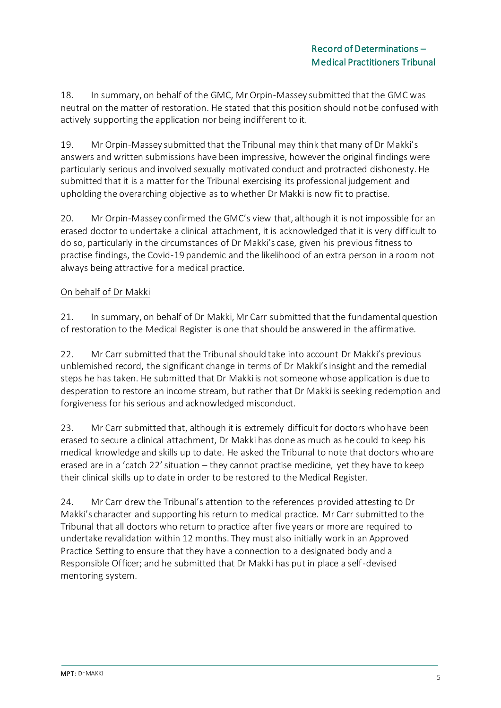18. In summary, on behalf of the GMC, Mr Orpin-Massey submitted that the GMC was neutral on the matter of restoration. He stated that this position should not be confused with actively supporting the application nor being indifferent to it.

19. Mr Orpin-Massey submitted that the Tribunal may think that many of Dr Makki's answers and written submissions have been impressive, however the original findings were particularly serious and involved sexually motivated conduct and protracted dishonesty. He submitted that it is a matter for the Tribunal exercising its professional judgement and upholding the overarching objective as to whether Dr Makki is now fit to practise.

20. Mr Orpin-Massey confirmed the GMC's view that, although it is not impossible for an erased doctor to undertake a clinical attachment, it is acknowledged that it is very difficult to do so, particularly in the circumstances of Dr Makki's case, given his previous fitness to practise findings, the Covid-19 pandemic and the likelihood of an extra person in a room not always being attractive for a medical practice.

### On behalf of Dr Makki

21. In summary, on behalf of Dr Makki, Mr Carr submitted that the fundamental question of restoration to the Medical Register is one that should be answered in the affirmative.

22. Mr Carr submitted that the Tribunal should take into account Dr Makki's previous unblemished record, the significant change in terms of Dr Makki's insight and the remedial steps he has taken. He submitted that Dr Makki is not someone whose application is due to desperation to restore an income stream, but rather that Dr Makki is seeking redemption and forgiveness for his serious and acknowledged misconduct.

23. Mr Carr submitted that, although it is extremely difficult for doctors who have been erased to secure a clinical attachment, Dr Makki has done as much as he could to keep his medical knowledge and skills up to date. He asked the Tribunal to note that doctors who are erased are in a 'catch 22' situation – they cannot practise medicine, yet they have to keep their clinical skills up to date in order to be restored to the Medical Register.

24. Mr Carr drew the Tribunal's attention to the references provided attesting to Dr Makki's character and supporting his return to medical practice. Mr Carr submitted to the Tribunal that all doctors who return to practice after five years or more are required to undertake revalidation within 12 months. They must also initially work in an Approved Practice Setting to ensure that they have a connection to a designated body and a Responsible Officer; and he submitted that Dr Makki has put in place a self-devised mentoring system.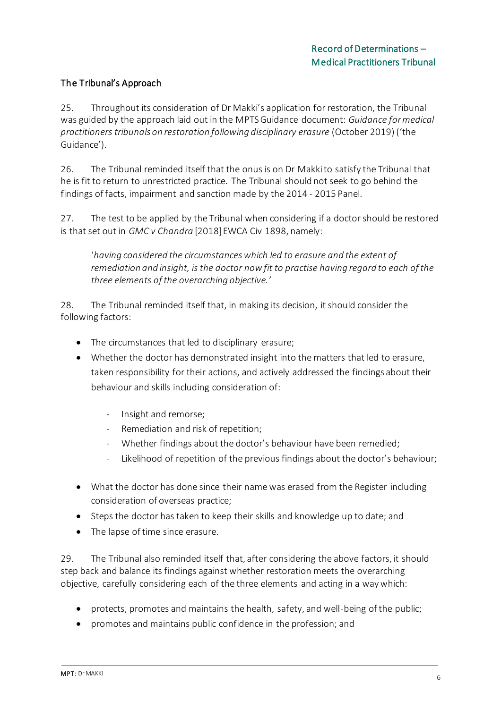### The Tribunal's Approach

25. Throughout its consideration of Dr Makki's application for restoration, the Tribunal was guided by the approach laid out in the MPTS Guidance document: *Guidance for medical practitioners tribunals on restoration following disciplinary erasure* (October 2019) ('the Guidance').

26. The Tribunal reminded itself that the onus is on Dr Makki to satisfy the Tribunal that he is fit to return to unrestricted practice. The Tribunal should not seek to go behind the findings of facts, impairment and sanction made by the 2014 - 2015 Panel.

27. The test to be applied by the Tribunal when considering if a doctor should be restored is that set out in *GMC v Chandra* [2018] EWCA Civ 1898, namely:

'*having considered the circumstances which led to erasure and the extent of remediation and insight, is the doctor now fit to practise having regard to each of the three elements of the overarching objective.'*

28. The Tribunal reminded itself that, in making its decision, it should consider the following factors:

- The circumstances that led to disciplinary erasure;
- Whether the doctor has demonstrated insight into the matters that led to erasure, taken responsibility for their actions, and actively addressed the findings about their behaviour and skills including consideration of:
	- Insight and remorse;
	- Remediation and risk of repetition;
	- Whether findings about the doctor's behaviour have been remedied;
	- Likelihood of repetition of the previous findings about the doctor's behaviour;
- What the doctor has done since their name was erased from the Register including consideration of overseas practice;
- Steps the doctor has taken to keep their skills and knowledge up to date; and
- The lapse of time since erasure.

29. The Tribunal also reminded itself that, after considering the above factors, it should step back and balance its findings against whether restoration meets the overarching objective, carefully considering each of the three elements and acting in a way which:

- protects, promotes and maintains the health, safety, and well-being of the public;
- promotes and maintains public confidence in the profession; and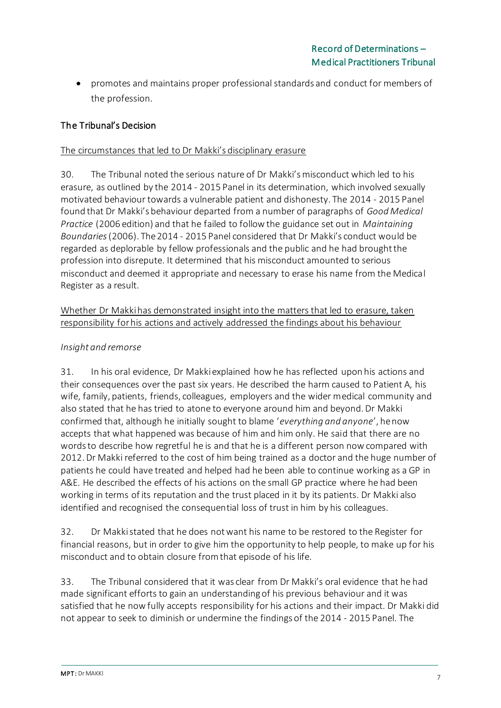• promotes and maintains proper professional standards and conduct for members of the profession.

### The Tribunal's Decision

### The circumstances that led to Dr Makki's disciplinary erasure

30. The Tribunal noted the serious nature of Dr Makki's misconduct which led to his erasure, as outlined by the 2014 - 2015 Panel in its determination, which involved sexually motivated behaviour towards a vulnerable patient and dishonesty. The 2014 - 2015 Panel found that Dr Makki's behaviour departed from a number of paragraphs of *Good Medical Practice* (2006 edition) and that he failed to follow the guidance set out in *Maintaining Boundaries* (2006). The 2014 - 2015 Panel considered that Dr Makki's conduct would be regarded as deplorable by fellow professionals and the public and he had brought the profession into disrepute. It determined that his misconduct amounted to serious misconduct and deemed it appropriate and necessary to erase his name from the Medical Register as a result.

### Whether Dr Makki has demonstrated insight into the matters that led to erasure, taken responsibility for his actions and actively addressed the findings about his behaviour

### *Insight and remorse*

31. In his oral evidence, Dr Makki explained how he has reflected upon his actions and their consequences over the past six years. He described the harm caused to Patient A, his wife, family, patients, friends, colleagues, employers and the wider medical community and also stated that he has tried to atone to everyone around him and beyond. Dr Makki confirmed that, although he initially sought to blame '*everything and anyone*', he now accepts that what happened was because of him and him only. He said that there are no words to describe how regretful he is and that he is a different person now compared with 2012. Dr Makki referred to the cost of him being trained as a doctor and the huge number of patients he could have treated and helped had he been able to continue working as a GP in A&E. He described the effects of his actions on the small GP practice where he had been working in terms of its reputation and the trust placed in it by its patients. Dr Makki also identified and recognised the consequential loss of trust in him by his colleagues.

32. Dr Makkistated that he does not want his name to be restored to the Register for financial reasons, but in order to give him the opportunity to help people, to make up for his misconduct and to obtain closure from that episode of his life.

33. The Tribunal considered that it was clear from Dr Makki's oral evidence that he had made significant efforts to gain an understanding of his previous behaviour and it was satisfied that he now fully accepts responsibility for his actions and their impact. Dr Makki did not appear to seek to diminish or undermine the findings of the 2014 - 2015 Panel. The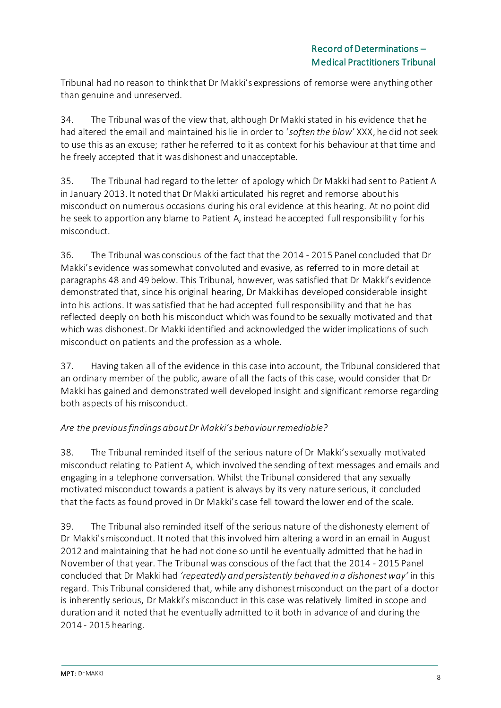Tribunal had no reason to think that Dr Makki's expressions of remorse were anything other than genuine and unreserved.

34. The Tribunal was of the view that, although Dr Makki stated in his evidence that he had altered the email and maintained his lie in order to '*soften the blow*' XXX, he did not seek to use this as an excuse; rather he referred to it as context for his behaviour at that time and he freely accepted that it was dishonest and unacceptable.

35. The Tribunal had regard to the letter of apology which Dr Makki had sent to Patient A in January 2013. It noted that Dr Makki articulated his regret and remorse about his misconduct on numerous occasions during his oral evidence at this hearing. At no point did he seek to apportion any blame to Patient A, instead he accepted full responsibility for his misconduct.

36. The Tribunal was conscious of the fact that the 2014 - 2015 Panel concluded that Dr Makki's evidence was somewhat convoluted and evasive, as referred to in more detail at paragraphs 48 and 49 below. This Tribunal, however, was satisfied that Dr Makki's evidence demonstrated that, since his original hearing, Dr Makki has developed considerable insight into his actions. It was satisfied that he had accepted full responsibility and that he has reflected deeply on both his misconduct which was found to be sexually motivated and that which was dishonest. Dr Makki identified and acknowledged the wider implications of such misconduct on patients and the profession as a whole.

37. Having taken all of the evidence in this case into account, the Tribunal considered that an ordinary member of the public, aware of all the facts of this case, would consider that Dr Makki has gained and demonstrated well developed insight and significant remorse regarding both aspects of his misconduct.

### *Are the previous findings about Dr Makki's behaviour remediable?*

38. The Tribunal reminded itself of the serious nature of Dr Makki's sexually motivated misconduct relating to Patient A, which involved the sending of text messages and emails and engaging in a telephone conversation. Whilst the Tribunal considered that any sexually motivated misconduct towards a patient is always by its very nature serious, it concluded that the facts as found proved in Dr Makki's case fell toward the lower end of the scale.

39. The Tribunal also reminded itself of the serious nature of the dishonesty element of Dr Makki's misconduct. It noted that this involved him altering a word in an email in August 2012 and maintaining that he had not done so until he eventually admitted that he had in November of that year. The Tribunal was conscious of the fact that the 2014 - 2015 Panel concluded that Dr Makki had *'repeatedly and persistently behaved in a dishonest way'* in this regard. This Tribunal considered that, while any dishonest misconduct on the part of a doctor is inherently serious, Dr Makki's misconduct in this case was relatively limited in scope and duration and it noted that he eventually admitted to it both in advance of and during the 2014 - 2015 hearing.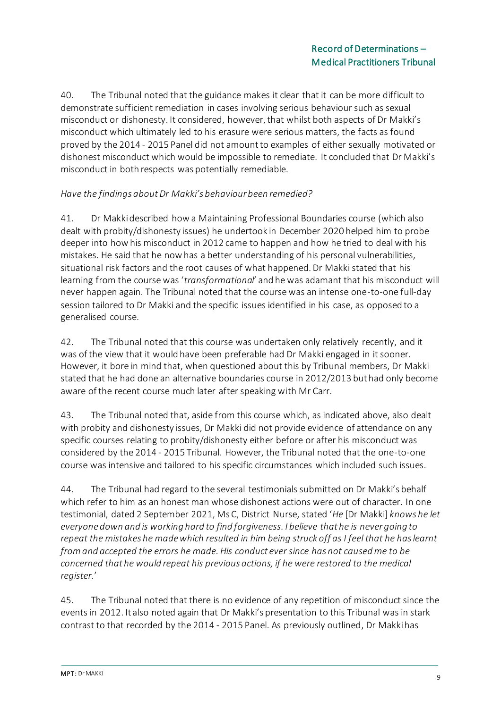40. The Tribunal noted that the guidance makes it clear that it can be more difficult to demonstrate sufficient remediation in cases involving serious behaviour such as sexual misconduct or dishonesty. It considered, however, that whilst both aspects of Dr Makki's misconduct which ultimately led to his erasure were serious matters, the facts as found proved by the 2014 - 2015 Panel did not amount to examples of either sexually motivated or dishonest misconduct which would be impossible to remediate. It concluded that Dr Makki's misconduct in both respects was potentially remediable.

### *Have the findings about Dr Makki's behaviour been remedied?*

41. Dr Makki described how a Maintaining Professional Boundaries course (which also dealt with probity/dishonesty issues) he undertook in December 2020 helped him to probe deeper into how his misconduct in 2012 came to happen and how he tried to deal with his mistakes. He said that he now has a better understanding of his personal vulnerabilities, situational risk factors and the root causes of what happened. Dr Makki stated that his learning from the course was '*transformational*' and he was adamant that his misconduct will never happen again. The Tribunal noted that the course was an intense one-to-one full-day session tailored to Dr Makki and the specific issues identified in his case, as opposed to a generalised course.

42. The Tribunal noted that this course was undertaken only relatively recently, and it was of the view that it would have been preferable had Dr Makki engaged in it sooner. However, it bore in mind that, when questioned about this by Tribunal members, Dr Makki stated that he had done an alternative boundaries course in 2012/2013 but had only become aware of the recent course much later after speaking with Mr Carr.

43. The Tribunal noted that, aside from this course which, as indicated above, also dealt with probity and dishonesty issues, Dr Makki did not provide evidence of attendance on any specific courses relating to probity/dishonesty either before or after his misconduct was considered by the 2014 - 2015 Tribunal. However, the Tribunal noted that the one-to-one course was intensive and tailored to his specific circumstances which included such issues.

44. The Tribunal had regard to the several testimonials submitted on Dr Makki's behalf which refer to him as an honest man whose dishonest actions were out of character. In one testimonial, dated 2 September 2021, Ms C, District Nurse, stated '*He* [Dr Makki] *knows he let everyone down and is working hard to find forgiveness. I believe that he is never going to repeat the mistakes he made which resulted in him being struck off as I feel that he has learnt from and accepted the errors he made. His conduct ever since has not caused me to be concerned that he would repeat his previous actions, if he were restored to the medical register.*'

45. The Tribunal noted that there is no evidence of any repetition of misconduct since the events in 2012. It also noted again that Dr Makki's presentation to this Tribunal was in stark contrast to that recorded by the 2014 - 2015 Panel. As previously outlined, Dr Makki has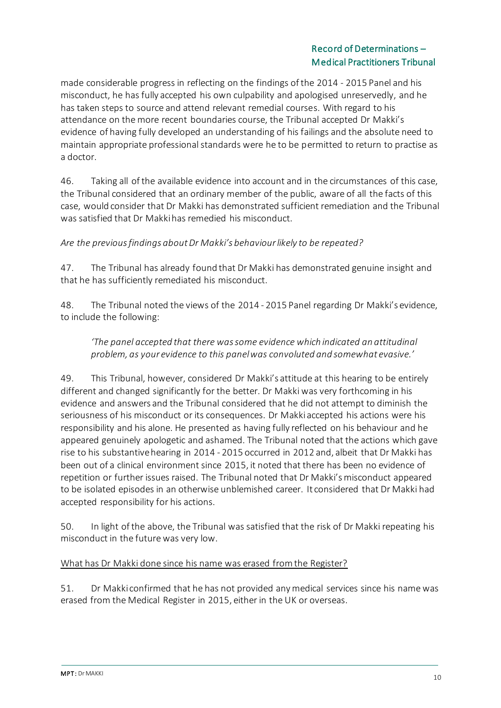made considerable progress in reflecting on the findings of the 2014 - 2015 Panel and his misconduct, he has fully accepted his own culpability and apologised unreservedly, and he has taken steps to source and attend relevant remedial courses. With regard to his attendance on the more recent boundaries course, the Tribunal accepted Dr Makki's evidence of having fully developed an understanding of his failings and the absolute need to maintain appropriate professional standards were he to be permitted to return to practise as a doctor.

46. Taking all of the available evidence into account and in the circumstances of this case, the Tribunal considered that an ordinary member of the public, aware of all the facts of this case, would consider that Dr Makki has demonstrated sufficient remediation and the Tribunal was satisfied that Dr Makki has remedied his misconduct.

*Are the previous findings about Dr Makki's behaviour likely to be repeated?*

47. The Tribunal has already found that Dr Makki has demonstrated genuine insight and that he has sufficiently remediated his misconduct.

48. The Tribunal noted the views of the 2014 - 2015 Panel regarding Dr Makki's evidence, to include the following:

*'The panel accepted that there was some evidence which indicated an attitudinal problem, as your evidence to this panel was convoluted and somewhat evasive.'*

49. This Tribunal, however, considered Dr Makki's attitude at this hearing to be entirely different and changed significantly for the better. Dr Makki was very forthcoming in his evidence and answers and the Tribunal considered that he did not attempt to diminish the seriousness of his misconduct or its consequences. Dr Makki accepted his actions were his responsibility and his alone. He presented as having fully reflected on his behaviour and he appeared genuinely apologetic and ashamed. The Tribunal noted that the actions which gave rise to his substantive hearing in 2014 - 2015 occurred in 2012 and, albeit that Dr Makki has been out of a clinical environment since 2015, it noted that there has been no evidence of repetition or further issues raised. The Tribunal noted that Dr Makki's misconduct appeared to be isolated episodes in an otherwise unblemished career. It considered that Dr Makki had accepted responsibility for his actions.

50. In light of the above, the Tribunal was satisfied that the risk of Dr Makki repeating his misconduct in the future was very low.

### What has Dr Makki done since his name was erased from the Register?

51. Dr Makki confirmed that he has not provided any medical services since his name was erased from the Medical Register in 2015, either in the UK or overseas.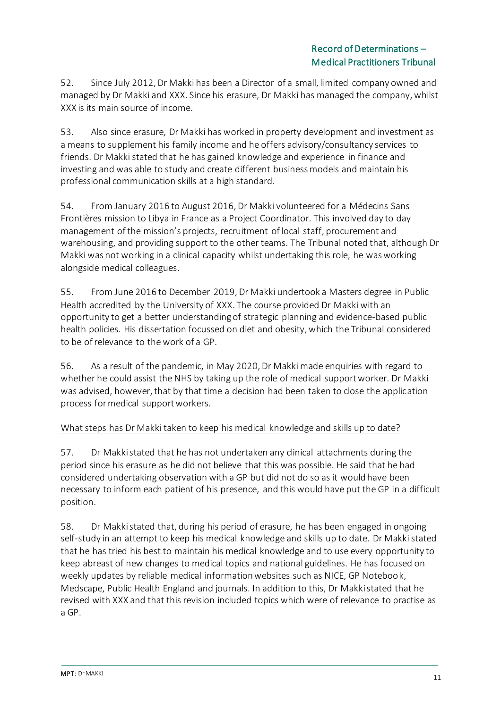52. Since July 2012, Dr Makki has been a Director of a small, limited company owned and managed by Dr Makki and XXX. Since his erasure, Dr Makki has managed the company, whilst XXX is its main source of income.

53. Also since erasure, Dr Makki has worked in property development and investment as a means to supplement his family income and he offers advisory/consultancy services to friends. Dr Makki stated that he has gained knowledge and experience in finance and investing and was able to study and create different business models and maintain his professional communication skills at a high standard.

54. From January 2016 to August 2016, Dr Makki volunteered for a Médecins Sans Frontières mission to Libya in France as a Project Coordinator. This involved day to day management of the mission's projects, recruitment of local staff, procurement and warehousing, and providing support to the other teams. The Tribunal noted that, although Dr Makki was not working in a clinical capacity whilst undertaking this role, he was working alongside medical colleagues.

55. From June 2016 to December 2019, Dr Makki undertook a Masters degree in Public Health accredited by the University of XXX. The course provided Dr Makki with an opportunity to get a better understanding of strategic planning and evidence-based public health policies. His dissertation focussed on diet and obesity, which the Tribunal considered to be of relevance to the work of a GP.

56. As a result of the pandemic, in May 2020, Dr Makki made enquiries with regard to whether he could assist the NHS by taking up the role of medical support worker. Dr Makki was advised, however, that by that time a decision had been taken to close the application process for medical support workers.

### What steps has Dr Makki taken to keep his medical knowledge and skills up to date?

57. Dr Makki stated that he has not undertaken any clinical attachments during the period since his erasure as he did not believe that this was possible. He said that he had considered undertaking observation with a GP but did not do so as it would have been necessary to inform each patient of his presence, and this would have put the GP in a difficult position.

58. Dr Makki stated that, during his period of erasure, he has been engaged in ongoing self-study in an attempt to keep his medical knowledge and skills up to date. Dr Makki stated that he has tried his best to maintain his medical knowledge and to use every opportunity to keep abreast of new changes to medical topics and national guidelines. He has focused on weekly updates by reliable medical information websites such as NICE, GP Notebook, Medscape, Public Health England and journals. In addition to this, Dr Makki stated that he revised with XXX and that this revision included topics which were of relevance to practise as a GP.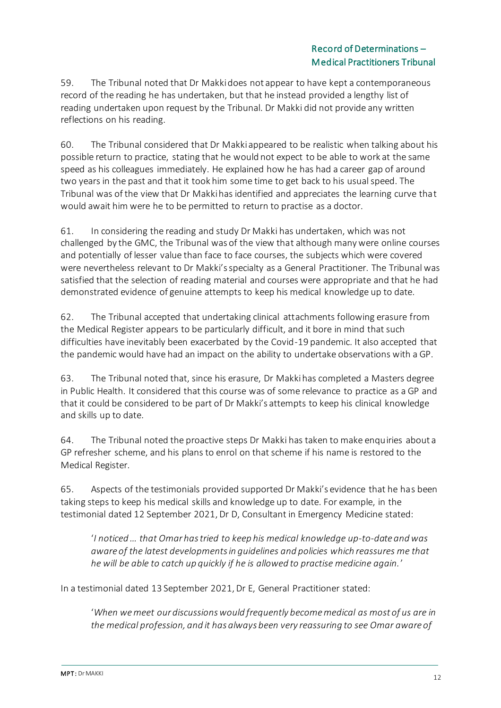59. The Tribunal noted that Dr Makki does not appear to have kept a contemporaneous record of the reading he has undertaken, but that he instead provided a lengthy list of reading undertaken upon request by the Tribunal. Dr Makki did not provide any written reflections on his reading.

60. The Tribunal considered that Dr Makki appeared to be realistic when talking about his possible return to practice, stating that he would not expect to be able to work at the same speed as his colleagues immediately. He explained how he has had a career gap of around two years in the past and that it took him some time to get back to his usual speed. The Tribunal was of the view that Dr Makki has identified and appreciates the learning curve that would await him were he to be permitted to return to practise as a doctor.

61. In considering the reading and study Dr Makki has undertaken, which was not challenged by the GMC, the Tribunal was of the view that although many were online courses and potentially of lesser value than face to face courses, the subjects which were covered were nevertheless relevant to Dr Makki's specialty as a General Practitioner. The Tribunal was satisfied that the selection of reading material and courses were appropriate and that he had demonstrated evidence of genuine attempts to keep his medical knowledge up to date.

62. The Tribunal accepted that undertaking clinical attachments following erasure from the Medical Register appears to be particularly difficult, and it bore in mind that such difficulties have inevitably been exacerbated by the Covid-19 pandemic. It also accepted that the pandemic would have had an impact on the ability to undertake observations with a GP.

63. The Tribunal noted that, since his erasure, Dr Makki has completed a Masters degree in Public Health. It considered that this course was of some relevance to practice as a GP and that it could be considered to be part of Dr Makki's attempts to keep his clinical knowledge and skills up to date.

64. The Tribunal noted the proactive steps Dr Makki has taken to make enquiries about a GP refresher scheme, and his plans to enrol on that scheme if his name is restored to the Medical Register.

65. Aspects of the testimonials provided supported Dr Makki's evidence that he has been taking steps to keep his medical skills and knowledge up to date. For example, in the testimonial dated 12 September 2021, Dr D, Consultant in Emergency Medicine stated:

'*I noticed … that Omar has tried to keep his medical knowledge up-to-date and was aware of the latest developments in guidelines and policies which reassures me that he will be able to catch up quickly if he is allowed to practise medicine again.*'

In a testimonial dated 13 September 2021, Dr E, General Practitioner stated:

'*When we meet our discussions would frequently become medical as most of us are in the medical profession, and it has always been very reassuring to see Omar aware of*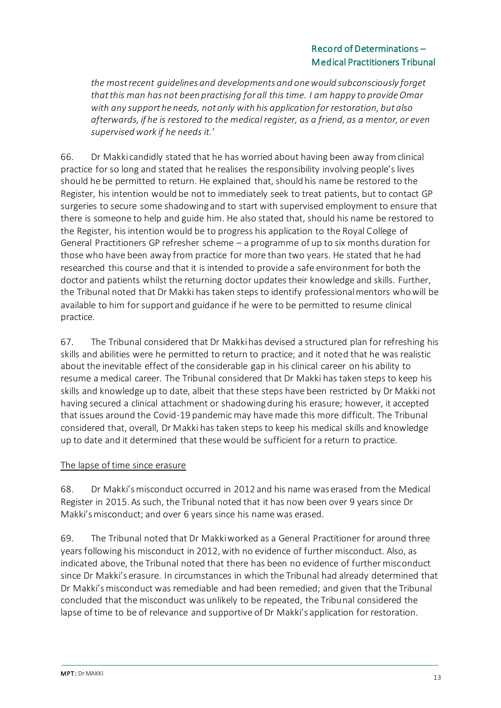*the most recent guidelines and developments and one would subconsciously forget that this man has not been practising for all this time. I am happy to provide Omar with any support he needs, not only with his application for restoration, but also afterwards, if he is restored to the medical register, as a friend, as a mentor, or even supervised work if he needs it.*'

66. Dr Makki candidly stated that he has worried about having been away from clinical practice for so long and stated that he realises the responsibility involving people's lives should he be permitted to return. He explained that, should his name be restored to the Register, his intention would be not to immediately seek to treat patients, but to contact GP surgeries to secure some shadowing and to start with supervised employment to ensure that there is someone to help and guide him. He also stated that, should his name be restored to the Register, his intention would be to progress his application to the Royal College of General Practitioners GP refresher scheme – a programme of up to six months duration for those who have been away from practice for more than two years. He stated that he had researched this course and that it is intended to provide a safe environment for both the doctor and patients whilst the returning doctor updates their knowledge and skills. Further, the Tribunal noted that Dr Makki has taken steps to identify professional mentors who will be available to him for support and guidance if he were to be permitted to resume clinical practice.

67. The Tribunal considered that Dr Makki has devised a structured plan for refreshing his skills and abilities were he permitted to return to practice; and it noted that he was realistic about the inevitable effect of the considerable gap in his clinical career on his ability to resume a medical career. The Tribunal considered that Dr Makki has taken steps to keep his skills and knowledge up to date, albeit that these steps have been restricted by Dr Makki not having secured a clinical attachment or shadowing during his erasure; however, it accepted that issues around the Covid-19 pandemic may have made this more difficult. The Tribunal considered that, overall, Dr Makki has taken steps to keep his medical skills and knowledge up to date and it determined that these would be sufficient for a return to practice.

### The lapse of time since erasure

68. Dr Makki's misconduct occurred in 2012 and his name was erased from the Medical Register in 2015. As such, the Tribunal noted that it has now been over 9 years since Dr Makki's misconduct; and over 6 years since his name was erased.

69. The Tribunal noted that Dr Makki worked as a General Practitioner for around three years following his misconduct in 2012, with no evidence of further misconduct. Also, as indicated above, the Tribunal noted that there has been no evidence of further misconduct since Dr Makki's erasure. In circumstances in which the Tribunal had already determined that Dr Makki's misconduct was remediable and had been remedied; and given that the Tribunal concluded that the misconduct was unlikely to be repeated, the Tribunal considered the lapse of time to be of relevance and supportive of Dr Makki's application for restoration.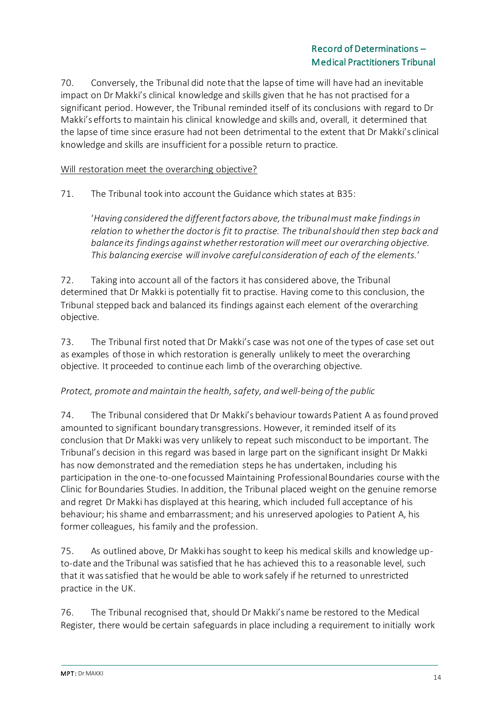70. Conversely, the Tribunal did note that the lapse of time will have had an inevitable impact on Dr Makki's clinical knowledge and skills given that he has not practised for a significant period. However, the Tribunal reminded itself of its conclusions with regard to Dr Makki's efforts to maintain his clinical knowledge and skills and, overall, it determined that the lapse of time since erasure had not been detrimental to the extent that Dr Makki's clinical knowledge and skills are insufficient for a possible return to practice.

### Will restoration meet the overarching objective?

71. The Tribunal took into account the Guidance which states at B35:

'*Having considered the different factors above, the tribunal must make findings in relation to whether the doctor is fit to practise. The tribunal should then step back and balance its findings against whether restoration will meet our overarching objective. This balancing exercise will involve careful consideration of each of the elements.*'

72. Taking into account all of the factors it has considered above, the Tribunal determined that Dr Makki is potentially fit to practise. Having come to this conclusion, the Tribunal stepped back and balanced its findings against each element of the overarching objective.

73. The Tribunal first noted that Dr Makki's case was not one of the types of case set out as examples of those in which restoration is generally unlikely to meet the overarching objective. It proceeded to continue each limb of the overarching objective.

#### *Protect, promote and maintain the health, safety, and well-being of the public*

74. The Tribunal considered that Dr Makki's behaviour towards Patient A as found proved amounted to significant boundary transgressions. However, it reminded itself of its conclusion that Dr Makki was very unlikely to repeat such misconduct to be important. The Tribunal's decision in this regard was based in large part on the significant insight Dr Makki has now demonstrated and the remediation steps he has undertaken, including his participation in the one-to-one focussed Maintaining Professional Boundaries course with the Clinic for Boundaries Studies. In addition, the Tribunal placed weight on the genuine remorse and regret Dr Makki has displayed at this hearing, which included full acceptance of his behaviour; his shame and embarrassment; and his unreserved apologies to Patient A, his former colleagues, his family and the profession.

75. As outlined above, Dr Makki has sought to keep his medical skills and knowledge upto-date and the Tribunal was satisfied that he has achieved this to a reasonable level, such that it was satisfied that he would be able to work safely if he returned to unrestricted practice in the UK.

76. The Tribunal recognised that, should Dr Makki's name be restored to the Medical Register, there would be certain safeguards in place including a requirement to initially work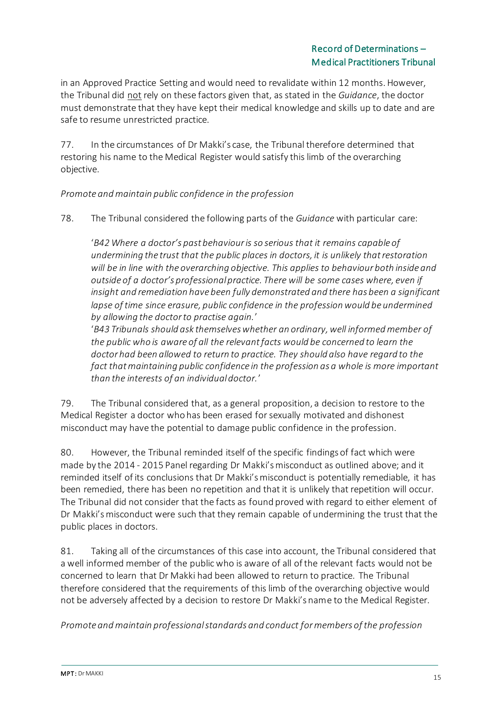in an Approved Practice Setting and would need to revalidate within 12 months. However, the Tribunal did not rely on these factors given that, as stated in the *Guidance*, the doctor must demonstrate that they have kept their medical knowledge and skills up to date and are safe to resume unrestricted practice.

77. In the circumstances of Dr Makki's case, the Tribunal therefore determined that restoring his name to the Medical Register would satisfy this limb of the overarching objective.

*Promote and maintain public confidence in the profession*

78. The Tribunal considered the following parts of the *Guidance* with particular care:

'*B42 Where a doctor's past behaviour is so serious that it remains capable of undermining the trust that the public places in doctors, it is unlikely that restoration will be in line with the overarching objective. This applies to behaviour both inside and outside of a doctor's professional practice. There will be some cases where, even if insight and remediation have been fully demonstrated and there has been a significant lapse of time since erasure, public confidence in the profession would be undermined by allowing the doctor to practise again.*'

'*B43 Tribunals should ask themselves whether an ordinary, well informed member of the public who is aware of all the relevant facts would be concerned to learn the doctor had been allowed to return to practice. They should also have regard to the fact that maintaining public confidence in the profession as a whole is more important than the interests of an individual doctor.*'

79. The Tribunal considered that, as a general proposition, a decision to restore to the Medical Register a doctor who has been erased for sexually motivated and dishonest misconduct may have the potential to damage public confidence in the profession.

80. However, the Tribunal reminded itself of the specific findings of fact which were made by the 2014 - 2015 Panel regarding Dr Makki's misconduct as outlined above; and it reminded itself of its conclusions that Dr Makki's misconduct is potentially remediable, it has been remedied, there has been no repetition and that it is unlikely that repetition will occur. The Tribunal did not consider that the facts as found proved with regard to either element of Dr Makki's misconduct were such that they remain capable of undermining the trust that the public places in doctors.

81. Taking all of the circumstances of this case into account, the Tribunal considered that a well informed member of the public who is aware of all of the relevant facts would not be concerned to learn that Dr Makki had been allowed to return to practice. The Tribunal therefore considered that the requirements of this limb of the overarching objective would not be adversely affected by a decision to restore Dr Makki's name to the Medical Register.

*Promote and maintain professional standards and conduct for members of the profession*